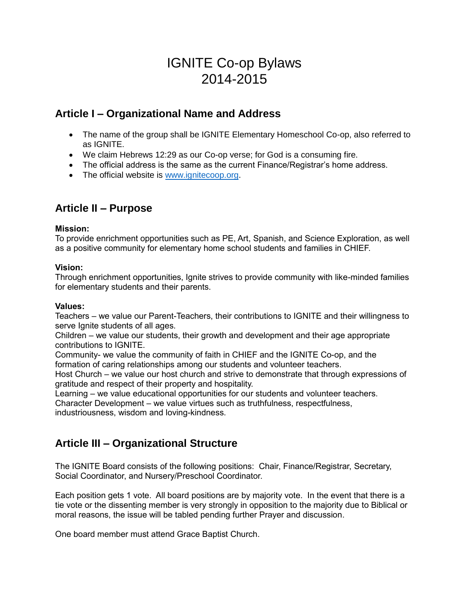# IGNITE Co-op Bylaws 2014-2015

### **Article I – Organizational Name and Address**

- The name of the group shall be IGNITE Elementary Homeschool Co-op, also referred to as IGNITE.
- We claim Hebrews 12:29 as our Co-op verse; for God is a consuming fire.
- The official address is the same as the current Finance/Registrar's home address.
- The official website is [www.ignitecoop.org.](http://www.ignitecoop.org/)

## **Article II – Purpose**

#### **Mission:**

To provide enrichment opportunities such as PE, Art, Spanish, and Science Exploration, as well as a positive community for elementary home school students and families in CHIEF.

#### **Vision:**

Through enrichment opportunities, Ignite strives to provide community with like-minded families for elementary students and their parents.

### **Values:**

Teachers – we value our Parent-Teachers, their contributions to IGNITE and their willingness to serve Ignite students of all ages.

Children – we value our students, their growth and development and their age appropriate contributions to IGNITE.

Community- we value the community of faith in CHIEF and the IGNITE Co-op, and the formation of caring relationships among our students and volunteer teachers.

Host Church – we value our host church and strive to demonstrate that through expressions of gratitude and respect of their property and hospitality.

Learning – we value educational opportunities for our students and volunteer teachers.

Character Development – we value virtues such as truthfulness, respectfulness, industriousness, wisdom and loving-kindness.

## **Article III – Organizational Structure**

The IGNITE Board consists of the following positions: Chair, Finance/Registrar, Secretary, Social Coordinator, and Nursery/Preschool Coordinator.

Each position gets 1 vote. All board positions are by majority vote. In the event that there is a tie vote or the dissenting member is very strongly in opposition to the majority due to Biblical or moral reasons, the issue will be tabled pending further Prayer and discussion.

One board member must attend Grace Baptist Church.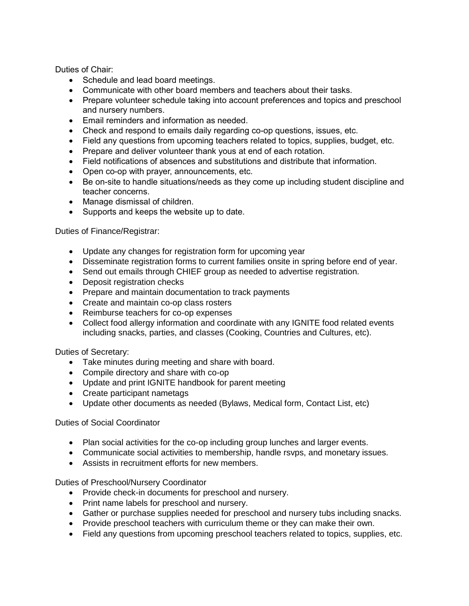Duties of Chair:

- Schedule and lead board meetings.
- Communicate with other board members and teachers about their tasks.
- Prepare volunteer schedule taking into account preferences and topics and preschool and nursery numbers.
- Email reminders and information as needed.
- Check and respond to emails daily regarding co-op questions, issues, etc.
- Field any questions from upcoming teachers related to topics, supplies, budget, etc.
- Prepare and deliver volunteer thank yous at end of each rotation.
- Field notifications of absences and substitutions and distribute that information.
- Open co-op with prayer, announcements, etc.
- Be on-site to handle situations/needs as they come up including student discipline and teacher concerns.
- Manage dismissal of children.
- Supports and keeps the website up to date.

Duties of Finance/Registrar:

- Update any changes for registration form for upcoming year
- Disseminate registration forms to current families onsite in spring before end of year.
- Send out emails through CHIEF group as needed to advertise registration.
- Deposit registration checks
- Prepare and maintain documentation to track payments
- Create and maintain co-op class rosters
- Reimburse teachers for co-op expenses
- Collect food allergy information and coordinate with any IGNITE food related events including snacks, parties, and classes (Cooking, Countries and Cultures, etc).

Duties of Secretary:

- Take minutes during meeting and share with board.
- Compile directory and share with co-op
- Update and print IGNITE handbook for parent meeting
- Create participant nametags
- Update other documents as needed (Bylaws, Medical form, Contact List, etc)

#### Duties of Social Coordinator

- Plan social activities for the co-op including group lunches and larger events.
- Communicate social activities to membership, handle rsvps, and monetary issues.
- Assists in recruitment efforts for new members.

Duties of Preschool/Nursery Coordinator

- Provide check-in documents for preschool and nursery.
- Print name labels for preschool and nursery.
- Gather or purchase supplies needed for preschool and nursery tubs including snacks.
- Provide preschool teachers with curriculum theme or they can make their own.
- Field any questions from upcoming preschool teachers related to topics, supplies, etc.